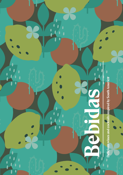Delicious wines and cocktails inspired by South America

l

l

endes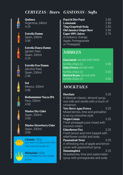#### *CERVEZAS / Beers GASEOSAS / Softs*



**Quilmes** Argentina, 340ml 4.25

Estrella Damm Spain, 330ml 3.95

Estrella Daura Damm (gluten free) Spain, 330ml 4.25



Estrella Free Damm (alcohol free) Spain, 250ml 2.95



m

Sol Mexico, 330ml 3.95

Rothammmer Nacza IPA Peru, 330ml 4.50

Maeloc Dry Cider Spain, 330ml 3.95

> Maeloc Strawberry Cider Spain, 330ml 3.95

Chelada +50p your beer in a glass with fresh lime juice and a salt rim



Michelada +60p as a Chelada but with added spices

| Pepsi & Diet Pepsi             | 2.50 |
|--------------------------------|------|
| Lemonade                       | 2.50 |
| <b>Ting Grapefruit Soda</b>    | 2.50 |
| <b>Old Jamaica Ginger Beer</b> | 2.50 |
| <b>Eager 100% Juices</b>       | 2.75 |
| (Cranberry, Orange,            |      |
| Apple, Pomegranate             |      |
| or Pineapple)                  |      |

## *NIBBLES*

| <b>Guacamole</b> served with fresh |      |
|------------------------------------|------|
| tortilla chips (v)                 | 395  |
| Salsa Fresca served with           |      |
| tortilla chips (v)                 | 3.00 |
| Refried Beans served with          |      |
| tortilla chips (v)                 | 3.50 |

## *MOCKTAILS*

aa aanaa aanaa aanaa aanaa aanaa aanaa aanaa aanaa aanaa aanaa aanaa aanaa aanaa aanaa aanaa aanaa aanaa aanaa

Horchata 3.25 A Mexican classic; almond syrup, rice milk and vanilla with a touch of cinnamon Very Berry Agua Fresca 3.25 Mixed berries, lime and grenadine in an icy smoothie style **Virgin Colada** 3.25 Fresh pineapple juice mixed with coconut cream **Elderflower Fizz** 3.25 Fresh lemon and mint topped with elderflower cordial and soda **Passionfruit Twist** 3.25 A refreshing mix of apple and lemon juices with passionfruit syrup Hummingbird 3.25 Strawberries, lime and watermelon syrup with pomegranate and soda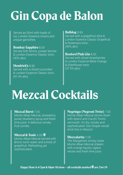# Gin Copa de Balon

Served as 50ml with loads of ice, London Essence mixers and unique garnishes.

#### Bombay Sapphire 8.00

1

1

Served with lemon, juniper berries & London Essence Classic tonic. (40% abv)

Hendrick's 8.50 Served with a sliced cucumber & London Essence Classic tonic. (41.4% abv)

#### Bulldog 8.50

Served with a grapefruit slice & London Essence Classic Grapefruit & Rosemary tonic. (40% abv)

#### Bosford Pink Gin 8.50

Served with sliced strawberries & London Essence Bitter Orange & Elderflower tonic (37.5% abv)

## Mezcal Cocktails

#### Mezcal Burst 7.00

Monte Alban Mezcal, strawberry puree, blueberry syrup and fresh lime juice. A delicious smoky fruit combo.

#### Mezcal & Tonic 6.00

Monte Alban Mezcal served with Brtivic tonic water and a twist of grapefruit. Refreshing yet sophisticated.

#### Negringo (Negroni Twist) 7.50

Monte Alban Mezcal stirred down with Aperol and Cocchi Torino vermouth. It's dry, smoky and sophisticated. Don Draper would drink this in Mexico!

#### Mezcalarita 7.00

The Margarita's smoky sister Monte Alban Mezcal shaken with orange liqueur, agave nectar and fresh lime juice.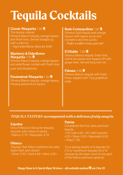# Tequila Cocktails

#### Classic Margarita 7.00

*The tequila original* Olmeca Blanco tequila, orange liqueur and fresh lime. Served straight up with a salt rim *> Try it with Pátron Silver for 8.00*

#### Blueberry & Elderflower Margarita 7.00<sup>9</sup>

Olmeca Blanco tequila, orange liqueur and elderflower cordial with fresh lime

juice and blueberries

#### Passionfruit Margarita 7.00

Olmeca Blanco tequila, orange liqueur, Passoa passionfruit liqueur

#### Rude Cosmopolitan 7.00  $\bullet$

Olmeca Gold tequila and orange liqueur with agave syrup and cranberry and lime juices *> Prefer a vodka Cosmo, just ask!* 

#### El Diablo  $7.00$   $\circledast$

Olmeca Blanco tequila, fresh lime, crème de cassis and topped off with ginger beer. Served long over ice

#### Paloma  $6.50$   $\circledast$

Olmeca Blanco tequila with fresh limes, topped with Ting grapefruit soda

## *TEQUILA TASTERS accompanied with a delicious fruity sangria*

#### Espolon

One of Mexico's favourite tequilas. Smooth with notes of vanilla. • Blanco 3.75 • Reposado 4.25

#### **Olmeca**

Tequilas that follow traditions but also taste fresh and vibrant  $\cdot$  Silver 3.50  $\cdot$  Gold 4.00  $\cdot$  Altos 4.50  $\cdot$ 

#### Patrón

Considered the first ultra premium tequila.

• XO Café 4.00 • XO Café Incendio 4.00 • Silver 5.00 • Reposado 6.00 • Añejo 7.00

*Try a tasting boards of 4 tequilas for £13 or 4 premium tequilas for £16 (chosen by the team, limit of one each of the Patron premium options)*

#### Happy Hour is 4-7pm & 10pm 'til close – all cocktails marked  $\mathcal{F}$  are 2 for £9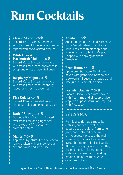## Rum Cocktails

#### Classic Mojito 7.00

Bacardi Carta Blanca rum mixed with fresh mint, lime juice and sugar, topped with soda; served over ice.

#### White Choc & Passionfruit Mojito 7.00

Bacardi Carta Blanca rum mixed with fresh limes, mint, passionfruit syrup and white chocolate liqueur

#### Raspberry Mojito 7.00

Bacardi Carta Blanca rum mixed with fresh limes, mint, raspberry liqueur and fresh raspberries

#### Pina Colada 7.00

**CONTRACTOR CONTRACTOR CONTRACTOR** 

Bacardi Blanca rum shaken with pineapple juice and coconut cream

#### Dark n' Stormy 7.00

Gosling's Black Seal rum floated over fresh lime and ginger beer with a touch of Angostura's aromatic bitters

#### Mai Tai  $7.00$

Appleton Signature Blend & Reserve rum's shaken with orange liqueur, almond syrup and lime juice.

## Zombie  $7.50$

Appleton Signature Blend & Reserve rums, Velvet Falernum and apricot liqueur mixed with pineapple and lime juices with a hint of Orgeat. Topped with flaming absinthe, Tiki-style!

#### **Brum Runner 7.00 \$**

Appleton's Signature Blend rum mixed with grenadine, banana and blackcurrant liqueurs, pineapple and lime juices. Seriously tropical.

#### Pornstar Daiquiri 7.00  $\bullet$

Bacardi Carta Blanca rum shaken with fresh lime and pineapple juice. a splash of passionfruit and topped with Prosecco

## *The History*

Rum is a spirit that is made by distilling sugar and water - the sugars used are either from cane juice, concentrated cane juice, or molasses. Molasses, the main ingredient, is a dark treacle like syrup that tastes a lot like liquorice. Although unsightly and quite bitter. the end result of fermentation, distillation, ageing and blending creates one of the most varied categories of spirit.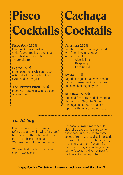# Pisco **Cocktails**

## Pisco Sour 6.50

Pisco ABA shaken with egg white foam, lime juice and sugar, garnished with Chuncho Amaro bitters

### **Pepino 6.50**  $\bullet$

Fresh cucumber, Chilean Pisco ABA, elderflower cordial, Orgeat syrup and lemon juice.

#### The Peruvian Pinch  $6.50$

Pisco ABA, apple juice and a dash of absinthe

# **Cachaça Cocktails**

### Caiprinha 6.50

Sagatiba Organic Cachaça muddled with fresh lime and sugar. Your choice of:

- Classic lime
- **Raspberry**
- Passionfruit

Batida 6.50 $\circledast$ Sagatiba Organic Cachaça, coconut milk, condensed milk, raspberries and a dash of sugar syrup

## **Blue Brazil 6.50 \$**

Muddled fresh lime and blueberries churned with Sagatiba Silver Cachaça and crème de cassis, topped with pomegranate seeds

## *The History*

3333333333333

Pisco is a white spirit commonly referred to as a white wine (or grape) brandy and is the national drink of Peru and Chile; both located on the Western coast of South America.

Whoever first made this amazing spirit – we love it!

Cachaca is Brazil's most popular alcoholic beverage. It is made from sugar cane juice, similar to some styles of rum. As they distill the spirit to a much lower strength than rum, it retains a lot of the flavours from the cane. This gives cachaça a more earthy flavour, making it perfect for cocktails like the caiprinha.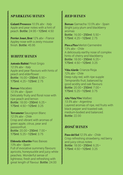## *SPARKLING WINES*

Galanti Prosecco *10.5% abv - Italy* Apple and pear notes with a hint of peach. Bottle: 24.95 • 125ml: 4.50

Perrier Jouet, Brut *12% abv - France* Appley nose with a zesty mousse finish. Bottle: 45.95

#### *WHITE WINES*

and the contract of the contract of the contract of the contract of the contract of the contract of the contract of the contract of the contract of the contract of the contract of the contract of the contract of the contra

Antonio Rubini Pinot Grigio *12.5% abv - Italy* Apple and pear flavours with hints of peach and elderflower Bottle: 16.00 • 250ml: 5.50 • 175ml: 4.25 • 125ml: 2.75

Borsao Macabeo *12.5% abv - Spain* Delicately fruity and floral nose with ripe peach and lemon Bottle: 18.00 • 250ml: 6.25 • 175ml: 4.50 • 125ml: 3.25

**Terrameter Sauvignon Blanc** *12.5% abv - Chile* Crisp and vibrant with aromas of green apple, citrus, pear and passionfruit. Bottle: 20.00 • 250ml: 7.00 • 175ml: 5.25 • 125ml: 3.75

Eldosela Albariño Rias Baixas *13% abv - Spain* Full of evocative summery flavours: apricots, honeysuckle and juicy white peaches. Wonderful sense of lightness; fresh and refreshing with great length of flavour. Bottle: 24.00

## *RED WINES*

**CONTRACTOR** 

**CONTRACTOR CONTRACTOR CONTRACTOR CONTRACTOR CONTRACTOR** 

Borsao Gamacha *13.5% abv - Spain* Bright juicy plum and blackberry aromas Bottle: 16.00 • 250ml: 5.50 • 175ml: 4.25 • 125ml: 2.75

Pico a Pico Merlot-Carmenère 13% abv - Chile A deliciously earthy nose of complex hints of cherry and blackberry. Bottle: 18.00 • 250ml: 6.25 • 175ml: 4.50 • 125ml: 3.25

Viña Alarde Crianza Rioja *12% abv - Chile* Deep ruby red, with ripe supple Tempranillo fruit, balanced by good acidity and oak flavours Bottle: 20.00 • 250ml: 7.00 • 175ml: 5.25 • 125ml: 3.75

Alta Vista Vive Malbec *13.5% abv - Argentina* Layered aromas of ripe, red fruits with black pepper and toasted oak; medium-bodied and balanced. Bottle: 22.00

## *ROSÉ WINES*

Paso del Sol *12.5% abv - Chile* Crisp refreshing strawberry, red berry and juicy citrus notes Bottle: 18.00 • 250ml: 6.25 • 175ml: 4.50 • 125ml: 3.25